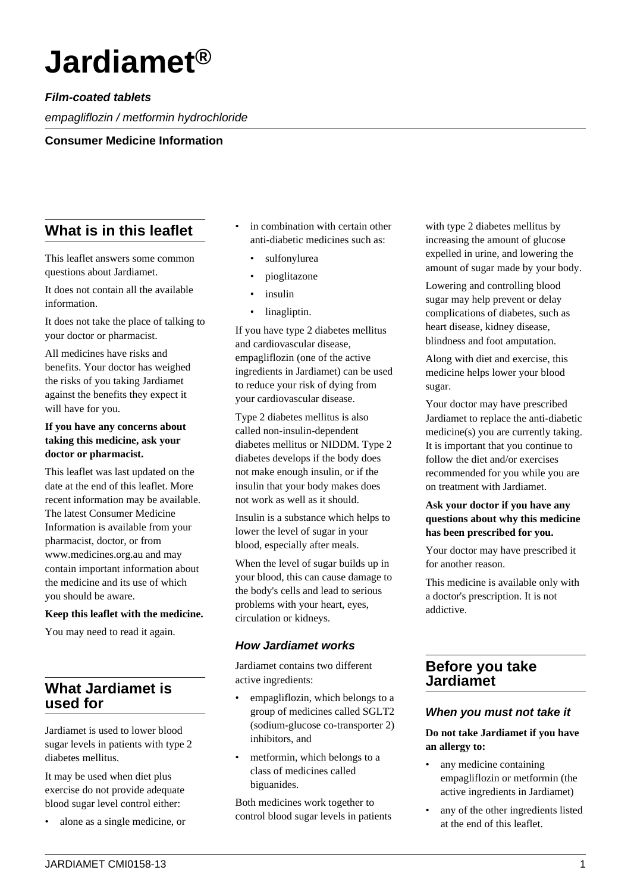# **Jardiamet®**

# **Film-coated tablets**

empagliflozin / metformin hydrochloride

**Consumer Medicine Information**

# **What is in this leaflet**

This leaflet answers some common questions about Jardiamet.

It does not contain all the available information.

It does not take the place of talking to your doctor or pharmacist.

All medicines have risks and benefits. Your doctor has weighed the risks of you taking Jardiamet against the benefits they expect it will have for you.

## **If you have any concerns about taking this medicine, ask your doctor or pharmacist.**

This leaflet was last updated on the date at the end of this leaflet. More recent information may be available. The latest Consumer Medicine Information is available from your pharmacist, doctor, or from www.medicines.org.au and may contain important information about the medicine and its use of which you should be aware.

#### **Keep this leaflet with the medicine.**

You may need to read it again.

# **What Jardiamet is used for**

Jardiamet is used to lower blood sugar levels in patients with type 2 diabetes mellitus.

It may be used when diet plus exercise do not provide adequate blood sugar level control either:

• alone as a single medicine, or

- in combination with certain other anti-diabetic medicines such as:
	- sulfonylurea
	- pioglitazone
	- insulin
	- linagliptin.

If you have type 2 diabetes mellitus and cardiovascular disease, empagliflozin (one of the active ingredients in Jardiamet) can be used to reduce your risk of dying from your cardiovascular disease.

Type 2 diabetes mellitus is also called non-insulin-dependent diabetes mellitus or NIDDM. Type 2 diabetes develops if the body does not make enough insulin, or if the insulin that your body makes does not work as well as it should.

Insulin is a substance which helps to lower the level of sugar in your blood, especially after meals.

When the level of sugar builds up in your blood, this can cause damage to the body's cells and lead to serious problems with your heart, eyes, circulation or kidneys.

# **How Jardiamet works**

Jardiamet contains two different active ingredients:

- empagliflozin, which belongs to a group of medicines called SGLT2 (sodium-glucose co-transporter 2) inhibitors, and
- metformin, which belongs to a class of medicines called biguanides.

Both medicines work together to control blood sugar levels in patients with type 2 diabetes mellitus by increasing the amount of glucose expelled in urine, and lowering the amount of sugar made by your body.

Lowering and controlling blood sugar may help prevent or delay complications of diabetes, such as heart disease, kidney disease, blindness and foot amputation.

Along with diet and exercise, this medicine helps lower your blood sugar.

Your doctor may have prescribed Jardiamet to replace the anti-diabetic medicine(s) you are currently taking. It is important that you continue to follow the diet and/or exercises recommended for you while you are on treatment with Jardiamet.

# **Ask your doctor if you have any questions about why this medicine has been prescribed for you.**

Your doctor may have prescribed it for another reason.

This medicine is available only with a doctor's prescription. It is not addictive.

# **Before you take Jardiamet**

# **When you must not take it**

**Do not take Jardiamet if you have an allergy to:**

- any medicine containing empagliflozin or metformin (the active ingredients in Jardiamet)
- any of the other ingredients listed at the end of this leaflet.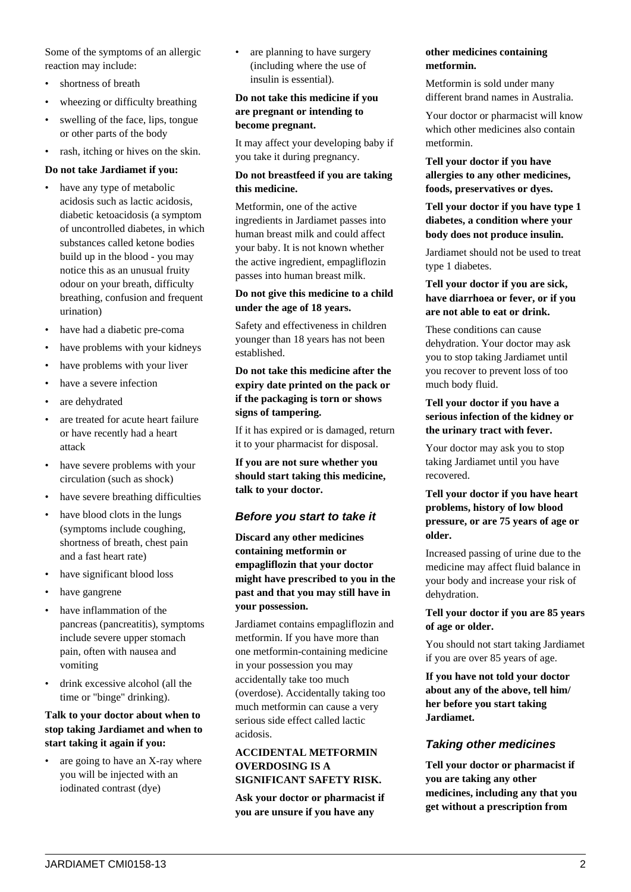Some of the symptoms of an allergic reaction may include:

- shortness of breath
- wheezing or difficulty breathing
- swelling of the face, lips, tongue or other parts of the body
- rash, itching or hives on the skin.

#### **Do not take Jardiamet if you:**

- have any type of metabolic acidosis such as lactic acidosis, diabetic ketoacidosis (a symptom of uncontrolled diabetes, in which substances called ketone bodies build up in the blood - you may notice this as an unusual fruity odour on your breath, difficulty breathing, confusion and frequent urination)
- have had a diabetic pre-coma
- have problems with your kidneys
- have problems with your liver
- have a severe infection
- are dehydrated
- are treated for acute heart failure or have recently had a heart attack
- have severe problems with your circulation (such as shock)
- have severe breathing difficulties
- have blood clots in the lungs (symptoms include coughing, shortness of breath, chest pain and a fast heart rate)
- have significant blood loss
- have gangrene
- have inflammation of the pancreas (pancreatitis), symptoms include severe upper stomach pain, often with nausea and vomiting
- drink excessive alcohol (all the time or "binge" drinking).

# **Talk to your doctor about when to stop taking Jardiamet and when to start taking it again if you:**

are going to have an X-ray where you will be injected with an iodinated contrast (dye)

are planning to have surgery (including where the use of insulin is essential).

# **Do not take this medicine if you are pregnant or intending to become pregnant.**

It may affect your developing baby if you take it during pregnancy.

## **Do not breastfeed if you are taking this medicine.**

Metformin, one of the active ingredients in Jardiamet passes into human breast milk and could affect your baby. It is not known whether the active ingredient, empagliflozin passes into human breast milk.

#### **Do not give this medicine to a child under the age of 18 years.**

Safety and effectiveness in children younger than 18 years has not been established.

## **Do not take this medicine after the expiry date printed on the pack or if the packaging is torn or shows signs of tampering.**

If it has expired or is damaged, return it to your pharmacist for disposal.

**If you are not sure whether you should start taking this medicine, talk to your doctor.**

# **Before you start to take it**

**Discard any other medicines containing metformin or empagliflozin that your doctor might have prescribed to you in the past and that you may still have in your possession.**

Jardiamet contains empagliflozin and metformin. If you have more than one metformin-containing medicine in your possession you may accidentally take too much (overdose). Accidentally taking too much metformin can cause a very serious side effect called lactic acidosis.

#### **ACCIDENTAL METFORMIN OVERDOSING IS A SIGNIFICANT SAFETY RISK.**

**Ask your doctor or pharmacist if you are unsure if you have any**

# **other medicines containing metformin.**

Metformin is sold under many different brand names in Australia.

Your doctor or pharmacist will know which other medicines also contain metformin.

**Tell your doctor if you have allergies to any other medicines, foods, preservatives or dyes.**

# **Tell your doctor if you have type 1 diabetes, a condition where your body does not produce insulin.**

Jardiamet should not be used to treat type 1 diabetes.

## **Tell your doctor if you are sick, have diarrhoea or fever, or if you are not able to eat or drink.**

These conditions can cause dehydration. Your doctor may ask you to stop taking Jardiamet until you recover to prevent loss of too much body fluid.

#### **Tell your doctor if you have a serious infection of the kidney or the urinary tract with fever.**

Your doctor may ask you to stop taking Jardiamet until you have recovered.

## **Tell your doctor if you have heart problems, history of low blood pressure, or are 75 years of age or older.**

Increased passing of urine due to the medicine may affect fluid balance in your body and increase your risk of dehydration.

#### **Tell your doctor if you are 85 years of age or older.**

You should not start taking Jardiamet if you are over 85 years of age.

**If you have not told your doctor about any of the above, tell him/ her before you start taking Jardiamet.**

# **Taking other medicines**

**Tell your doctor or pharmacist if you are taking any other medicines, including any that you get without a prescription from**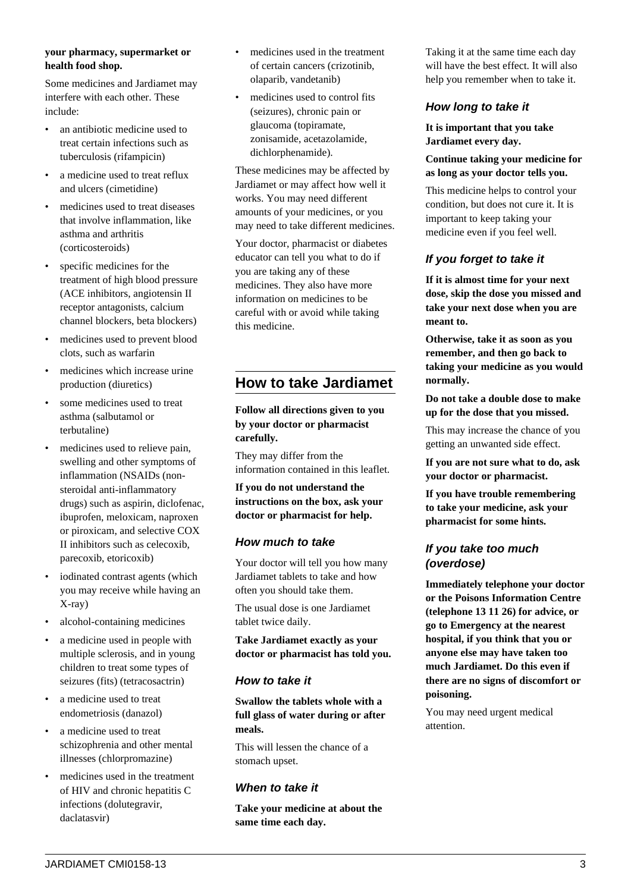#### **your pharmacy, supermarket or health food shop.**

Some medicines and Jardiamet may interfere with each other. These include:

- an antibiotic medicine used to treat certain infections such as tuberculosis (rifampicin)
- a medicine used to treat reflux and ulcers (cimetidine)
- medicines used to treat diseases that involve inflammation, like asthma and arthritis (corticosteroids)
- specific medicines for the treatment of high blood pressure (ACE inhibitors, angiotensin II receptor antagonists, calcium channel blockers, beta blockers)
- medicines used to prevent blood clots, such as warfarin
- medicines which increase urine production (diuretics)
- some medicines used to treat asthma (salbutamol or terbutaline)
- medicines used to relieve pain, swelling and other symptoms of inflammation (NSAIDs (nonsteroidal anti-inflammatory drugs) such as aspirin, diclofenac, ibuprofen, meloxicam, naproxen or piroxicam, and selective COX II inhibitors such as celecoxib, parecoxib, etoricoxib)
- iodinated contrast agents (which you may receive while having an X-ray)
- alcohol-containing medicines
- a medicine used in people with multiple sclerosis, and in young children to treat some types of seizures (fits) (tetracosactrin)
- a medicine used to treat endometriosis (danazol)
- a medicine used to treat schizophrenia and other mental illnesses (chlorpromazine)
- medicines used in the treatment of HIV and chronic hepatitis C infections (dolutegravir, daclatasvir)
- medicines used in the treatment of certain cancers (crizotinib, olaparib, vandetanib)
- medicines used to control fits (seizures), chronic pain or glaucoma (topiramate, zonisamide, acetazolamide, dichlorphenamide).

These medicines may be affected by Jardiamet or may affect how well it works. You may need different amounts of your medicines, or you may need to take different medicines.

Your doctor, pharmacist or diabetes educator can tell you what to do if you are taking any of these medicines. They also have more information on medicines to be careful with or avoid while taking this medicine.

# **How to take Jardiamet**

**Follow all directions given to you by your doctor or pharmacist carefully.**

They may differ from the information contained in this leaflet.

**If you do not understand the instructions on the box, ask your doctor or pharmacist for help.**

# **How much to take**

Your doctor will tell you how many Jardiamet tablets to take and how often you should take them.

The usual dose is one Jardiamet tablet twice daily.

**Take Jardiamet exactly as your doctor or pharmacist has told you.**

# **How to take it**

**Swallow the tablets whole with a full glass of water during or after meals.**

This will lessen the chance of a stomach upset.

# **When to take it**

**Take your medicine at about the same time each day.**

Taking it at the same time each day will have the best effect. It will also help you remember when to take it.

# **How long to take it**

**It is important that you take Jardiamet every day.**

**Continue taking your medicine for as long as your doctor tells you.**

This medicine helps to control your condition, but does not cure it. It is important to keep taking your medicine even if you feel well.

# **If you forget to take it**

**If it is almost time for your next dose, skip the dose you missed and take your next dose when you are meant to.**

**Otherwise, take it as soon as you remember, and then go back to taking your medicine as you would normally.**

**Do not take a double dose to make up for the dose that you missed.**

This may increase the chance of you getting an unwanted side effect.

**If you are not sure what to do, ask your doctor or pharmacist.**

**If you have trouble remembering to take your medicine, ask your pharmacist for some hints.**

# **If you take too much (overdose)**

**Immediately telephone your doctor or the Poisons Information Centre (telephone 13 11 26) for advice, or go to Emergency at the nearest hospital, if you think that you or anyone else may have taken too much Jardiamet. Do this even if there are no signs of discomfort or poisoning.**

You may need urgent medical attention.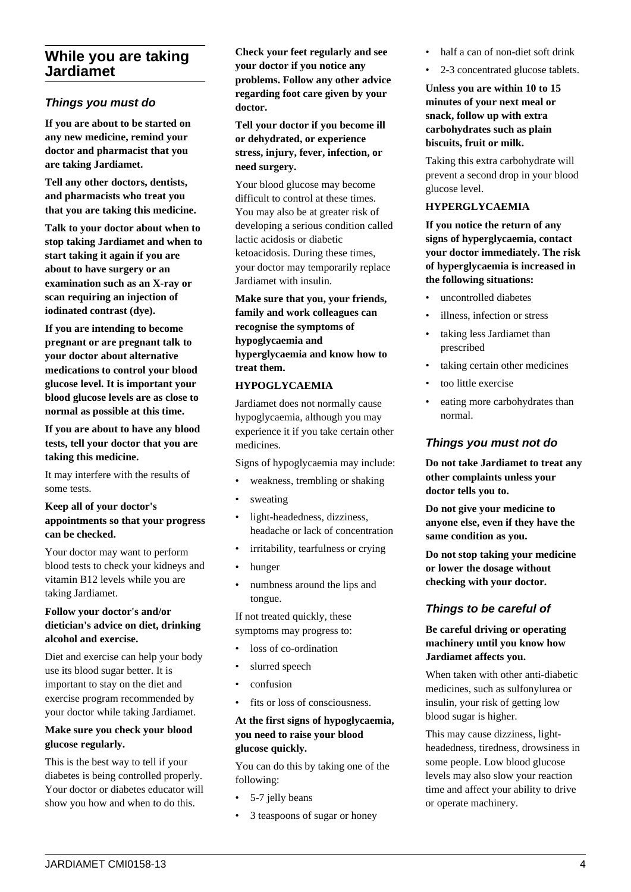# **While you are taking Jardiamet**

# **Things you must do**

**If you are about to be started on any new medicine, remind your doctor and pharmacist that you are taking Jardiamet.**

**Tell any other doctors, dentists, and pharmacists who treat you that you are taking this medicine.**

**Talk to your doctor about when to stop taking Jardiamet and when to start taking it again if you are about to have surgery or an examination such as an X-ray or scan requiring an injection of iodinated contrast (dye).**

**If you are intending to become pregnant or are pregnant talk to your doctor about alternative medications to control your blood glucose level. It is important your blood glucose levels are as close to normal as possible at this time.**

**If you are about to have any blood tests, tell your doctor that you are taking this medicine.**

It may interfere with the results of some tests.

#### **Keep all of your doctor's appointments so that your progress can be checked.**

Your doctor may want to perform blood tests to check your kidneys and vitamin B12 levels while you are taking Jardiamet.

#### **Follow your doctor's and/or dietician's advice on diet, drinking alcohol and exercise.**

Diet and exercise can help your body use its blood sugar better. It is important to stay on the diet and exercise program recommended by your doctor while taking Jardiamet.

#### **Make sure you check your blood glucose regularly.**

This is the best way to tell if your diabetes is being controlled properly. Your doctor or diabetes educator will show you how and when to do this.

**Check your feet regularly and see your doctor if you notice any problems. Follow any other advice regarding foot care given by your doctor.**

**Tell your doctor if you become ill or dehydrated, or experience stress, injury, fever, infection, or need surgery.**

Your blood glucose may become difficult to control at these times. You may also be at greater risk of developing a serious condition called lactic acidosis or diabetic ketoacidosis. During these times, your doctor may temporarily replace Jardiamet with insulin.

**Make sure that you, your friends, family and work colleagues can recognise the symptoms of hypoglycaemia and hyperglycaemia and know how to treat them.**

#### **HYPOGLYCAEMIA**

Jardiamet does not normally cause hypoglycaemia, although you may experience it if you take certain other medicines.

Signs of hypoglycaemia may include:

- weakness, trembling or shaking
- sweating
- light-headedness, dizziness, headache or lack of concentration
- irritability, tearfulness or crying
- hunger
- numbness around the lips and tongue.

If not treated quickly, these symptoms may progress to:

- loss of co-ordination
- slurred speech
- confusion
- fits or loss of consciousness.

#### **At the first signs of hypoglycaemia, you need to raise your blood glucose quickly.**

You can do this by taking one of the following:

- 5-7 jelly beans
- 3 teaspoons of sugar or honey
- half a can of non-diet soft drink
- 2-3 concentrated glucose tablets.

**Unless you are within 10 to 15 minutes of your next meal or snack, follow up with extra carbohydrates such as plain biscuits, fruit or milk.**

Taking this extra carbohydrate will prevent a second drop in your blood glucose level.

#### **HYPERGLYCAEMIA**

**If you notice the return of any signs of hyperglycaemia, contact your doctor immediately. The risk of hyperglycaemia is increased in the following situations:**

- uncontrolled diabetes
- illness, infection or stress
- taking less Jardiamet than prescribed
- taking certain other medicines
- too little exercise
- eating more carbohydrates than normal.

## **Things you must not do**

**Do not take Jardiamet to treat any other complaints unless your doctor tells you to.**

**Do not give your medicine to anyone else, even if they have the same condition as you.**

**Do not stop taking your medicine or lower the dosage without checking with your doctor.**

# **Things to be careful of**

**Be careful driving or operating machinery until you know how Jardiamet affects you.**

When taken with other anti-diabetic medicines, such as sulfonylurea or insulin, your risk of getting low blood sugar is higher.

This may cause dizziness, lightheadedness, tiredness, drowsiness in some people. Low blood glucose levels may also slow your reaction time and affect your ability to drive or operate machinery.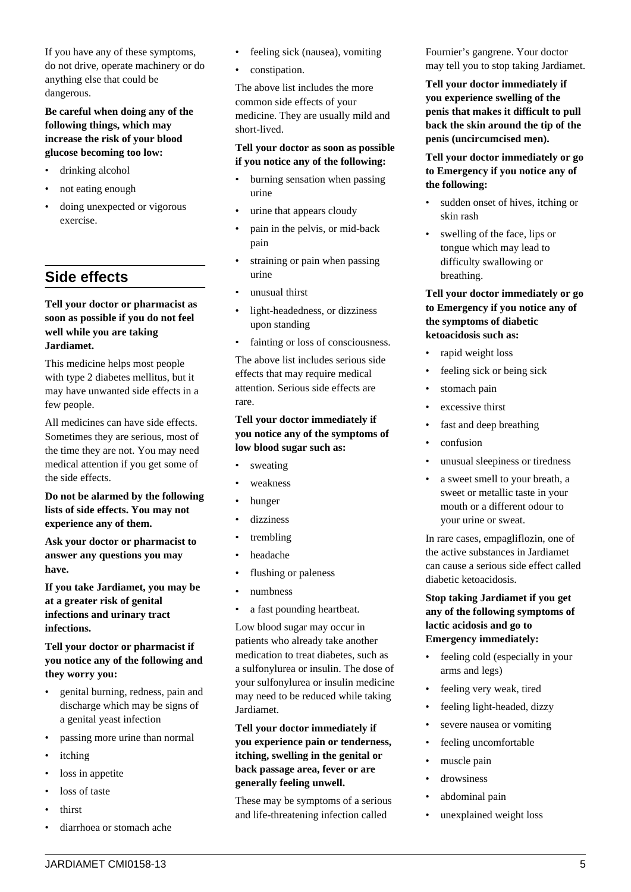If you have any of these symptoms, do not drive, operate machinery or do anything else that could be dangerous.

# **Be careful when doing any of the following things, which may increase the risk of your blood glucose becoming too low:**

- drinking alcohol
- not eating enough
- doing unexpected or vigorous exercise.

# **Side effects**

## **Tell your doctor or pharmacist as soon as possible if you do not feel well while you are taking Jardiamet.**

This medicine helps most people with type 2 diabetes mellitus, but it may have unwanted side effects in a few people.

All medicines can have side effects. Sometimes they are serious, most of the time they are not. You may need medical attention if you get some of the side effects.

**Do not be alarmed by the following lists of side effects. You may not experience any of them.**

**Ask your doctor or pharmacist to answer any questions you may have.**

**If you take Jardiamet, you may be at a greater risk of genital infections and urinary tract infections.**

# **Tell your doctor or pharmacist if you notice any of the following and they worry you:**

- genital burning, redness, pain and discharge which may be signs of a genital yeast infection
- passing more urine than normal
- itching
- loss in appetite
- loss of taste
- thirst
- diarrhoea or stomach ache
- feeling sick (nausea), vomiting
- constipation.

The above list includes the more common side effects of your medicine. They are usually mild and short-lived.

#### **Tell your doctor as soon as possible if you notice any of the following:**

- burning sensation when passing urine
- urine that appears cloudy
- pain in the pelvis, or mid-back pain
- straining or pain when passing urine
- unusual thirst
- light-headedness, or dizziness upon standing
- fainting or loss of consciousness.

The above list includes serious side effects that may require medical attention. Serious side effects are rare.

#### **Tell your doctor immediately if you notice any of the symptoms of low blood sugar such as:**

- sweating
- weakness
- hunger
- dizziness
- trembling
- headache
- flushing or paleness
- numbness
- a fast pounding heartbeat.

Low blood sugar may occur in patients who already take another medication to treat diabetes, such as a sulfonylurea or insulin. The dose of your sulfonylurea or insulin medicine may need to be reduced while taking Jardiamet.

**Tell your doctor immediately if you experience pain or tenderness, itching, swelling in the genital or back passage area, fever or are generally feeling unwell.**

These may be symptoms of a serious and life-threatening infection called

Fournier's gangrene. Your doctor may tell you to stop taking Jardiamet.

**Tell your doctor immediately if you experience swelling of the penis that makes it difficult to pull back the skin around the tip of the penis (uncircumcised men).**

**Tell your doctor immediately or go to Emergency if you notice any of the following:**

- sudden onset of hives, itching or skin rash
- swelling of the face, lips or tongue which may lead to difficulty swallowing or breathing.

## **Tell your doctor immediately or go to Emergency if you notice any of the symptoms of diabetic ketoacidosis such as:**

- rapid weight loss
- feeling sick or being sick
- stomach pain
- excessive thirst
- fast and deep breathing
- confusion
- unusual sleepiness or tiredness
- a sweet smell to your breath, a sweet or metallic taste in your mouth or a different odour to your urine or sweat.

In rare cases, empagliflozin, one of the active substances in Jardiamet can cause a serious side effect called diabetic ketoacidosis.

## **Stop taking Jardiamet if you get any of the following symptoms of lactic acidosis and go to Emergency immediately:**

- feeling cold (especially in your arms and legs)
- feeling very weak, tired
- feeling light-headed, dizzy
- severe nausea or vomiting
- feeling uncomfortable
- muscle pain
- drowsiness
- abdominal pain
- unexplained weight loss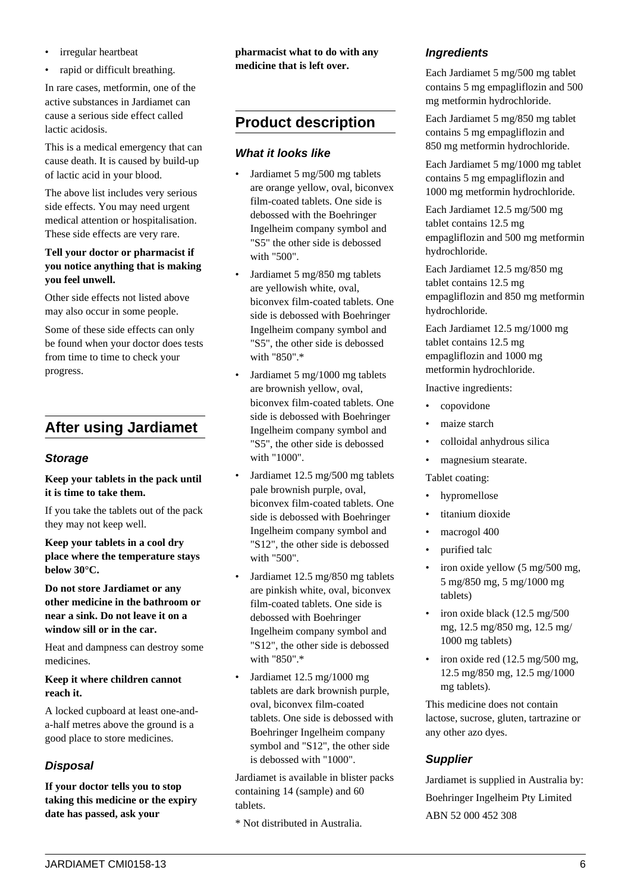- irregular heartbeat
- rapid or difficult breathing.

In rare cases, metformin, one of the active substances in Jardiamet can cause a serious side effect called lactic acidosis.

This is a medical emergency that can cause death. It is caused by build-up of lactic acid in your blood.

The above list includes very serious side effects. You may need urgent medical attention or hospitalisation. These side effects are very rare.

## **Tell your doctor or pharmacist if you notice anything that is making you feel unwell.**

Other side effects not listed above may also occur in some people.

Some of these side effects can only be found when your doctor does tests from time to time to check your progress.

# **After using Jardiamet**

# **Storage**

**Keep your tablets in the pack until it is time to take them.**

If you take the tablets out of the pack they may not keep well.

**Keep your tablets in a cool dry place where the temperature stays below 30°C.**

**Do not store Jardiamet or any other medicine in the bathroom or near a sink. Do not leave it on a window sill or in the car.**

Heat and dampness can destroy some medicines.

**Keep it where children cannot reach it.**

A locked cupboard at least one-anda-half metres above the ground is a good place to store medicines.

# **Disposal**

**If your doctor tells you to stop taking this medicine or the expiry date has passed, ask your**

**pharmacist what to do with any medicine that is left over.**

# **Product description**

# **What it looks like**

- Jardiamet 5 mg/500 mg tablets are orange yellow, oval, biconvex film-coated tablets. One side is debossed with the Boehringer Ingelheim company symbol and "S5" the other side is debossed with "500".
- Jardiamet 5 mg/850 mg tablets are yellowish white, oval, biconvex film-coated tablets. One side is debossed with Boehringer Ingelheim company symbol and "S5", the other side is debossed with "850".\*
- Jardiamet 5 mg/1000 mg tablets are brownish yellow, oval, biconvex film-coated tablets. One side is debossed with Boehringer Ingelheim company symbol and "S5", the other side is debossed with "1000".
- Jardiamet 12.5 mg/500 mg tablets pale brownish purple, oval, biconvex film-coated tablets. One side is debossed with Boehringer Ingelheim company symbol and "S12", the other side is debossed with "500".
- Jardiamet 12.5 mg/850 mg tablets are pinkish white, oval, biconvex film-coated tablets. One side is debossed with Boehringer Ingelheim company symbol and "S12", the other side is debossed with "850".\*
- Jardiamet 12.5 mg/1000 mg tablets are dark brownish purple, oval, biconvex film-coated tablets. One side is debossed with Boehringer Ingelheim company symbol and "S12", the other side is debossed with "1000".

Jardiamet is available in blister packs containing 14 (sample) and 60 tablets.

\* Not distributed in Australia.

# **Ingredients**

Each Jardiamet 5 mg/500 mg tablet contains 5 mg empagliflozin and 500 mg metformin hydrochloride.

Each Jardiamet 5 mg/850 mg tablet contains 5 mg empagliflozin and 850 mg metformin hydrochloride.

Each Jardiamet 5 mg/1000 mg tablet contains 5 mg empagliflozin and 1000 mg metformin hydrochloride.

Each Jardiamet 12.5 mg/500 mg tablet contains 12.5 mg empagliflozin and 500 mg metformin hydrochloride.

Each Jardiamet 12.5 mg/850 mg tablet contains 12.5 mg empagliflozin and 850 mg metformin hydrochloride.

Each Jardiamet 12.5 mg/1000 mg tablet contains 12.5 mg empagliflozin and 1000 mg metformin hydrochloride.

Inactive ingredients:

- copovidone
- maize starch
- colloidal anhydrous silica
- magnesium stearate.

Tablet coating:

- hypromellose
- titanium dioxide
- macrogol 400
- purified talc
- iron oxide yellow (5 mg/500 mg, 5 mg/850 mg, 5 mg/1000 mg tablets)
- iron oxide black (12.5 mg/500 mg, 12.5 mg/850 mg, 12.5 mg/ 1000 mg tablets)
- iron oxide red  $(12.5 \text{ mg}/500 \text{ mg})$ , 12.5 mg/850 mg, 12.5 mg/1000 mg tablets).

This medicine does not contain lactose, sucrose, gluten, tartrazine or any other azo dyes.

# **Supplier**

Jardiamet is supplied in Australia by: Boehringer Ingelheim Pty Limited ABN 52 000 452 308